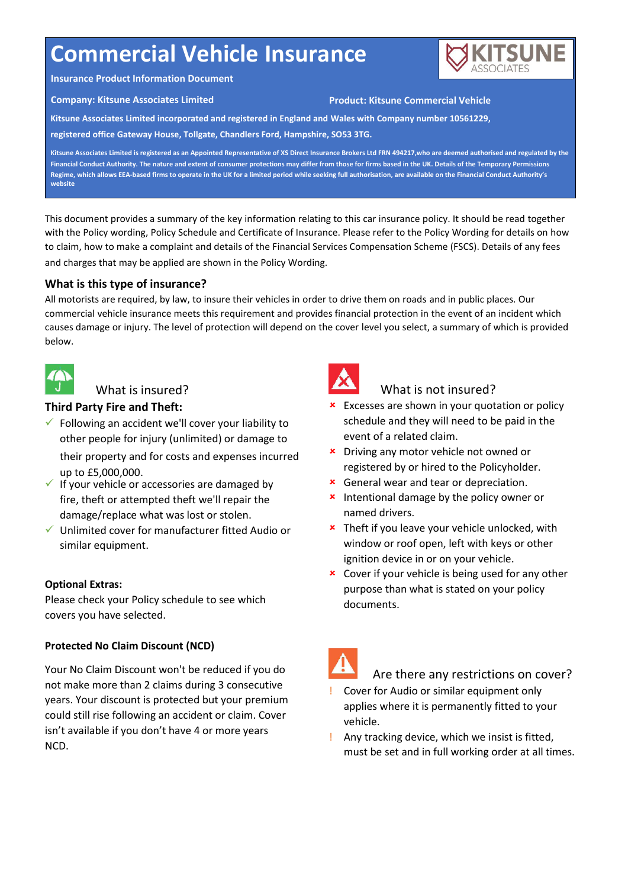# **Commercial Vehicle Insurance**



#### **Insurance Product Information Document**

#### **Company: Kitsune Associates Limited Product: Kitsune Commercial Vehicle**

**Kitsune Associates Limited incorporated and registered in England and Wales with Company number 10561229,**

**registered office Gateway House, Tollgate, Chandlers Ford, Hampshire, SO53 3TG.**

**Kitsune Associates Limited is registered as an Appointed Representative of XS Direct Insurance Brokers Ltd FRN 494217,who are deemed authorised and regulated by the Financial Conduct Authority. The nature and extent of consumer protections may differ from those for firms based in the UK. Details of the Temporary Permissions Regime, which allows EEA-based firms to operate in the UK for a limited period while seeking full authorisation, are available on the Financial Conduct Authority's website**

This document provides a summary of the key information relating to this car insurance policy. It should be read together with the Policy wording, Policy Schedule and Certificate of Insurance. Please refer to the Policy Wording for details on how to claim, how to make a complaint and details of the Financial Services Compensation Scheme (FSCS). Details of any fees and charges that may be applied are shown in the Policy Wording.

# **What is this type of insurance?**

All motorists are required, by law, to insure their vehicles in order to drive them on roads and in public places. Our commercial vehicle insurance meets this requirement and provides financial protection in the event of an incident which causes damage or injury. The level of protection will depend on the cover level you select, a summary of which is provided below.



# What is insured?

## **Third Party Fire and Theft:**

- $\checkmark$  Following an accident we'll cover your liability to other people for injury (unlimited) or damage to
	- their property and for costs and expenses incurred up to £5,000,000.
- $\checkmark$  If your vehicle or accessories are damaged by fire, theft or attempted theft we'll repair the damage/replace what was lost or stolen.
- $\checkmark$  Unlimited cover for manufacturer fitted Audio or similar equipment.

## **Optional Extras:**

Please check your Policy schedule to see which covers you have selected.

## **Protected No Claim Discount (NCD)**

Your No Claim Discount won't be reduced if you do not make more than 2 claims during 3 consecutive years. Your discount is protected but your premium could still rise following an accident or claim. Cover isn't available if you don't have 4 or more years NCD.



# What is not insured?

- **\*** Excesses are shown in your quotation or policy schedule and they will need to be paid in the event of a related claim.
- **\*** Driving any motor vehicle not owned or registered by or hired to the Policyholder.
- **\*** General wear and tear or depreciation.
- **\*** Intentional damage by the policy owner or named drivers.
- **\*** Theft if you leave your vehicle unlocked, with window or roof open, left with keys or other ignition device in or on your vehicle.
- **x** Cover if your vehicle is being used for any other purpose than what is stated on your policy documents.

## Are there any restrictions on cover?

- ! Cover for Audio or similar equipment only applies where it is permanently fitted to your vehicle.
- ! Any tracking device, which we insist is fitted, must be set and in full working order at all times.